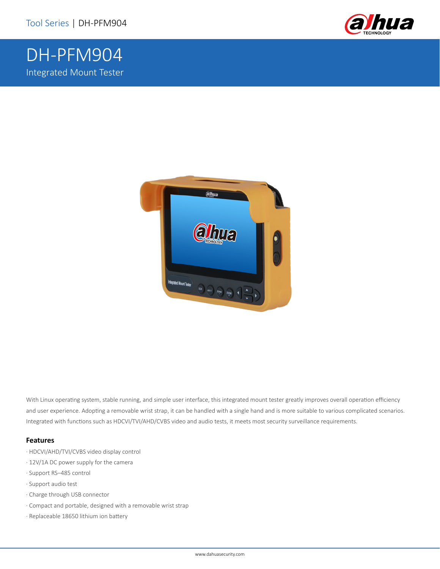DH-PFM904

Integrated Mount Tester





With Linux operating system, stable running, and simple user interface, this integrated mount tester greatly improves overall operation efficiency and user experience. Adopting a removable wrist strap, it can be handled with a single hand and is more suitable to various complicated scenarios. Integrated with functions such as HDCVI/TVI/AHD/CVBS video and audio tests, it meets most security surveillance requirements.

#### **Features**

- · HDCVI/AHD/TVI/CVBS video display control
- · 12V/1A DC power supply for the camera
- · Support RS–485 control
- · Support audio test
- · Charge through USB connector
- · Compact and portable, designed with a removable wrist strap
- · Replaceable 18650 lithium ion battery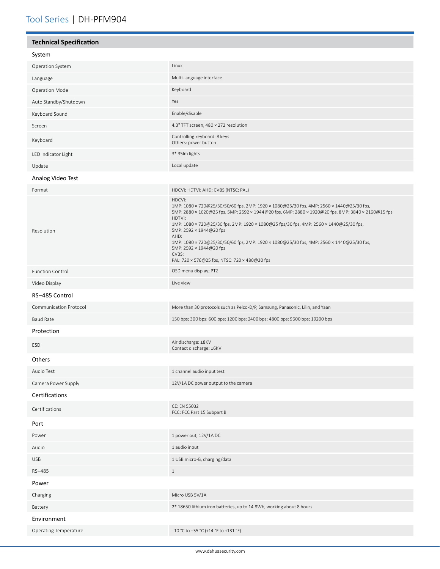| <b>Technical Specification</b> |                                                                                                                                                                                                                                                                                                                                                                                                                                                                                                                                  |
|--------------------------------|----------------------------------------------------------------------------------------------------------------------------------------------------------------------------------------------------------------------------------------------------------------------------------------------------------------------------------------------------------------------------------------------------------------------------------------------------------------------------------------------------------------------------------|
| System                         |                                                                                                                                                                                                                                                                                                                                                                                                                                                                                                                                  |
| Operation System               | Linux                                                                                                                                                                                                                                                                                                                                                                                                                                                                                                                            |
| Language                       | Multi-language interface                                                                                                                                                                                                                                                                                                                                                                                                                                                                                                         |
| <b>Operation Mode</b>          | Keyboard                                                                                                                                                                                                                                                                                                                                                                                                                                                                                                                         |
| Auto Standby/Shutdown          | Yes                                                                                                                                                                                                                                                                                                                                                                                                                                                                                                                              |
| Keyboard Sound                 | Enable/disable                                                                                                                                                                                                                                                                                                                                                                                                                                                                                                                   |
| Screen                         | 4.3" TFT screen, 480 × 272 resolution                                                                                                                                                                                                                                                                                                                                                                                                                                                                                            |
| Keyboard                       | Controlling keyboard: 8 keys<br>Others: power button                                                                                                                                                                                                                                                                                                                                                                                                                                                                             |
| LED Indicator Light            | 3* 35Im lights                                                                                                                                                                                                                                                                                                                                                                                                                                                                                                                   |
| Update                         | Local update                                                                                                                                                                                                                                                                                                                                                                                                                                                                                                                     |
| Analog Video Test              |                                                                                                                                                                                                                                                                                                                                                                                                                                                                                                                                  |
| Format                         | HDCVI; HDTVI; AHD; CVBS (NTSC; PAL)                                                                                                                                                                                                                                                                                                                                                                                                                                                                                              |
| Resolution                     | HDCVI:<br>1MP: 1080 × 720@25/30/50/60 fps, 2MP: 1920 × 1080@25/30 fps, 4MP: 2560 × 1440@25/30 fps,<br>5MP: 2880 x 1620@25 fps, 5MP: 2592 x 1944@20 fps, 6MP: 2880 x 1920@20 fps, 8MP: 3840 x 2160@15 fps<br>HDTVI:<br>1MP: 1080 × 720@25/30 fps, 2MP: 1920 × 1080@25 fps/30 fps, 4MP: 2560 × 1440@25/30 fps,<br>5MP: 2592 × 1944@20 fps<br>AHD:<br>1MP: 1080 × 720@25/30/50/60 fps, 2MP: 1920 × 1080@25/30 fps, 4MP: 2560 × 1440@25/30 fps,<br>5MP: 2592 × 1944@20 fps<br>CVBS:<br>PAL: 720 × 576@25 fps, NTSC: 720 × 480@30 fps |
| <b>Function Control</b>        | OSD menu display; PTZ                                                                                                                                                                                                                                                                                                                                                                                                                                                                                                            |
| Video Display                  | Live view                                                                                                                                                                                                                                                                                                                                                                                                                                                                                                                        |
| RS-485 Control                 |                                                                                                                                                                                                                                                                                                                                                                                                                                                                                                                                  |
| Communication Protocol         | More than 30 protocols such as Pelco-D/P, Samsung, Panasonic, Lilin, and Yaan                                                                                                                                                                                                                                                                                                                                                                                                                                                    |
| <b>Baud Rate</b>               | 150 bps; 300 bps; 600 bps; 1200 bps; 2400 bps; 4800 bps; 9600 bps; 19200 bps                                                                                                                                                                                                                                                                                                                                                                                                                                                     |
| Protection                     |                                                                                                                                                                                                                                                                                                                                                                                                                                                                                                                                  |
| ESD                            | Air discharge: ±8KV<br>Contact discharge: ±6KV                                                                                                                                                                                                                                                                                                                                                                                                                                                                                   |
| Others                         |                                                                                                                                                                                                                                                                                                                                                                                                                                                                                                                                  |
| Audio Test                     | 1 channel audio input test                                                                                                                                                                                                                                                                                                                                                                                                                                                                                                       |
| Camera Power Supply            | 12V/1A DC power output to the camera                                                                                                                                                                                                                                                                                                                                                                                                                                                                                             |
| Certifications                 |                                                                                                                                                                                                                                                                                                                                                                                                                                                                                                                                  |
| Certifications                 | CE: EN 55032<br>FCC: FCC Part 15 Subpart B                                                                                                                                                                                                                                                                                                                                                                                                                                                                                       |
| Port                           |                                                                                                                                                                                                                                                                                                                                                                                                                                                                                                                                  |
| Power                          | 1 power out, 12V/1A DC                                                                                                                                                                                                                                                                                                                                                                                                                                                                                                           |
| Audio                          | 1 audio input                                                                                                                                                                                                                                                                                                                                                                                                                                                                                                                    |
| <b>USB</b>                     | 1 USB micro-B, charging/data                                                                                                                                                                                                                                                                                                                                                                                                                                                                                                     |
| RS-485                         | $\mathbf{1}$                                                                                                                                                                                                                                                                                                                                                                                                                                                                                                                     |
| Power                          |                                                                                                                                                                                                                                                                                                                                                                                                                                                                                                                                  |
| Charging                       | Micro USB 5V/1A                                                                                                                                                                                                                                                                                                                                                                                                                                                                                                                  |
| Battery                        | 2* 18650 lithium iron batteries, up to 14.8Wh, working about 8 hours                                                                                                                                                                                                                                                                                                                                                                                                                                                             |
| Environment                    |                                                                                                                                                                                                                                                                                                                                                                                                                                                                                                                                  |
| <b>Operating Temperature</b>   | $-10$ °C to +55 °C (+14 °F to +131 °F)                                                                                                                                                                                                                                                                                                                                                                                                                                                                                           |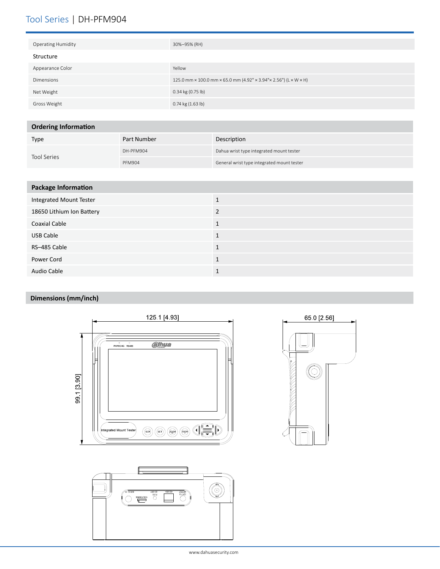# Tool Series | DH-PFM904

| <b>Operating Humidity</b> | 30%-95% (RH)                                                      |
|---------------------------|-------------------------------------------------------------------|
| Structure                 |                                                                   |
| Appearance Color          | Yellow                                                            |
| Dimensions                | 125.0 mm × 100.0 mm × 65.0 mm (4.92" × 3.94" × 2.56") (L × W × H) |
| Net Weight                | $0.34$ kg (0.75 lb)                                               |
| Gross Weight              | $0.74$ kg $(1.63$ lb)                                             |

### **Ordering Information**

| Type               | Part Number   | Description                                |
|--------------------|---------------|--------------------------------------------|
| <b>Tool Series</b> | DH-PFM904     | Dahua wrist type integrated mount tester   |
|                    | <b>PFM904</b> | General wrist type integrated mount tester |

| <b>Package Information</b> |                |
|----------------------------|----------------|
| Integrated Mount Tester    |                |
| 18650 Lithium Ion Battery  | $\overline{2}$ |
| <b>Coaxial Cable</b>       |                |
| <b>USB Cable</b>           | 1              |
| RS-485 Cable               | $\mathbf{1}$   |
| Power Cord                 | 1              |
| Audio Cable                |                |

## **Dimensions (mm/inch)**